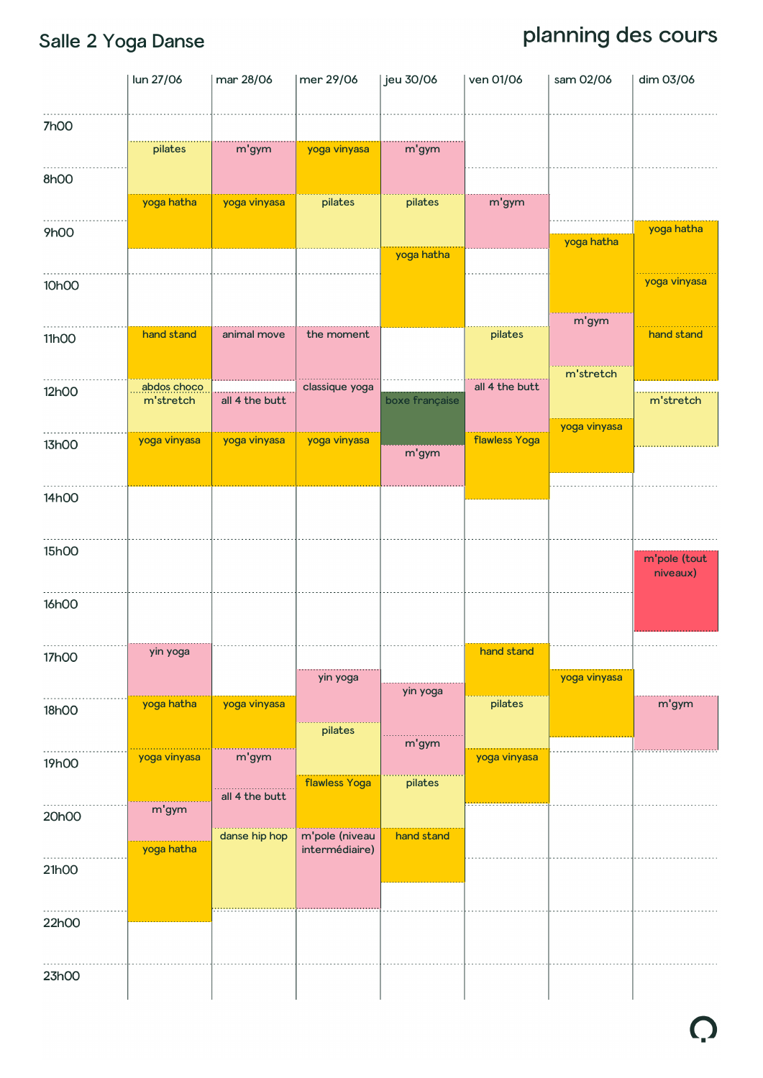## Salle 2 Yoga Danse

|              | lun 27/06                | mar 28/06                       | mer 29/06            | jeu 30/06        | ven 01/06            | sam 02/06    | dim 03/06                |
|--------------|--------------------------|---------------------------------|----------------------|------------------|----------------------|--------------|--------------------------|
| <b>7h00</b>  | pilates                  | m'gym                           | yoga vinyasa         | m'gym            |                      |              |                          |
| 8h00         |                          |                                 |                      |                  |                      |              |                          |
|              | yoga hatha               | yoga vinyasa                    | pilates              | pilates          | m'gym                |              |                          |
| <b>9h00</b>  |                          |                                 |                      | yoga hatha       |                      | yoga hatha   | yoga hatha               |
| 10h00        |                          |                                 |                      |                  |                      |              | yoga vinyasa             |
| 11h00        | hand stand               | animal move                     | the moment           |                  | pilates              | m'gym        | hand stand               |
| 12h00        | abdos choco<br>m'stretch | all 4 the butt                  | classique yoga       | boxe française   | all 4 the butt       | m'stretch    | m'stretch                |
| 13h00        | yoga vinyasa             | yoga vinyasa                    | yoga vinyasa         | m'gym            | <b>flawless Yoga</b> | yoga vinyasa |                          |
| 14h00        |                          |                                 |                      |                  |                      |              |                          |
| 15h00        |                          |                                 |                      |                  |                      |              | m'pole (tout<br>niveaux) |
| <b>16h00</b> |                          |                                 |                      |                  |                      |              |                          |
| 17h00        | yin yoga                 |                                 | yin yoga             |                  | hand stand           | yoga vinyasa |                          |
| 18h00        | yoga hatha               | yoga vinyasa                    | pilates              | yin yoga         | pilates              |              | m'gym                    |
| 19h00        | yoga vinyasa             | m'gym                           | <b>flawless Yoga</b> | m'gym<br>pilates | yoga vinyasa         |              |                          |
| 20h00        | m'gym                    | all 4 the butt<br>danse hip hop | m'pole (niveau       | hand stand       |                      |              |                          |
| 21h00        | yoga hatha               |                                 | intermédiaire)       |                  |                      |              |                          |
| 22h00        |                          |                                 |                      |                  |                      |              |                          |
| 23h00        |                          |                                 |                      |                  |                      |              |                          |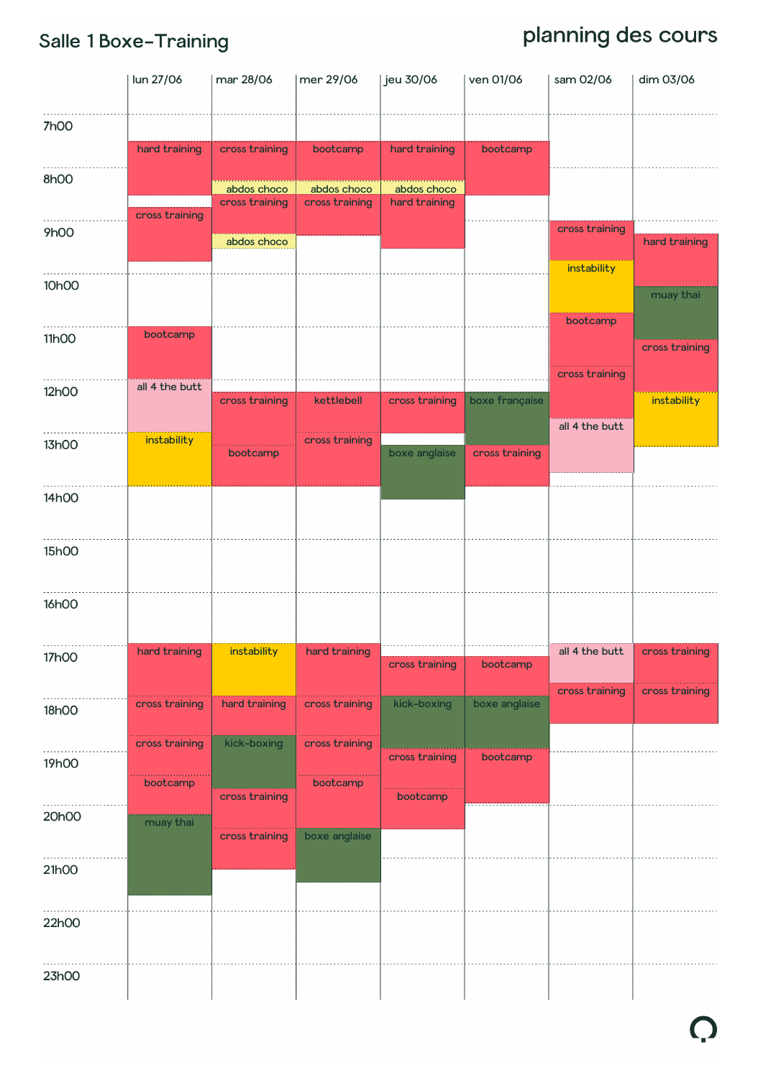#### Salle 1 Boxe-Training

|             | lun 27/06             | mar 28/06                     | mer 29/06      | jeu 30/06      | ven 01/06      | sam 02/06      | dim 03/06      |
|-------------|-----------------------|-------------------------------|----------------|----------------|----------------|----------------|----------------|
| <b>7h00</b> | hard training         | cross training                | bootcamp       | hard training  | bootcamp       |                |                |
| 8h00        |                       | abdos choco                   | abdos choco    | abdos choco    |                |                |                |
| <b>9h00</b> | cross training        | cross training<br>abdos choco | cross training | hard training  |                | cross training | hard training  |
| 10h00       |                       |                               |                |                |                | instability    | muay thai      |
| 11h00       | bootcamp              |                               |                |                |                | bootcamp       |                |
|             |                       |                               |                |                |                | cross training | cross training |
| 12h00       | all 4 the butt        | cross training                | kettlebell     | cross training | boxe française | all 4 the butt | instability    |
| 13h00       | instability           | bootcamp                      | cross training | boxe anglaise  | cross training |                |                |
| 14h00       |                       |                               |                |                |                |                |                |
| 15h00       |                       |                               |                |                |                |                |                |
| 16h00       |                       |                               |                |                |                |                |                |
| 17h00       | hard training         | instability                   | hard training  | cross training | bootcamp       | all 4 the butt | cross training |
| 18h00       | cross training        | hard training                 | cross training | kick-boxing    | boxe anglaise  | cross training | cross training |
| 19h00       | cross training        | kick-boxing                   | cross training | cross training | bootcamp       |                |                |
| 20h00       | bootcamp<br>muay thai | cross training                | bootcamp       | bootcamp       |                |                |                |
| 21h00       |                       | cross training                | boxe anglaise  |                |                |                |                |
|             |                       |                               |                |                |                |                |                |
| 22h00       |                       |                               |                |                |                |                |                |
| 23h00       |                       |                               |                |                |                |                |                |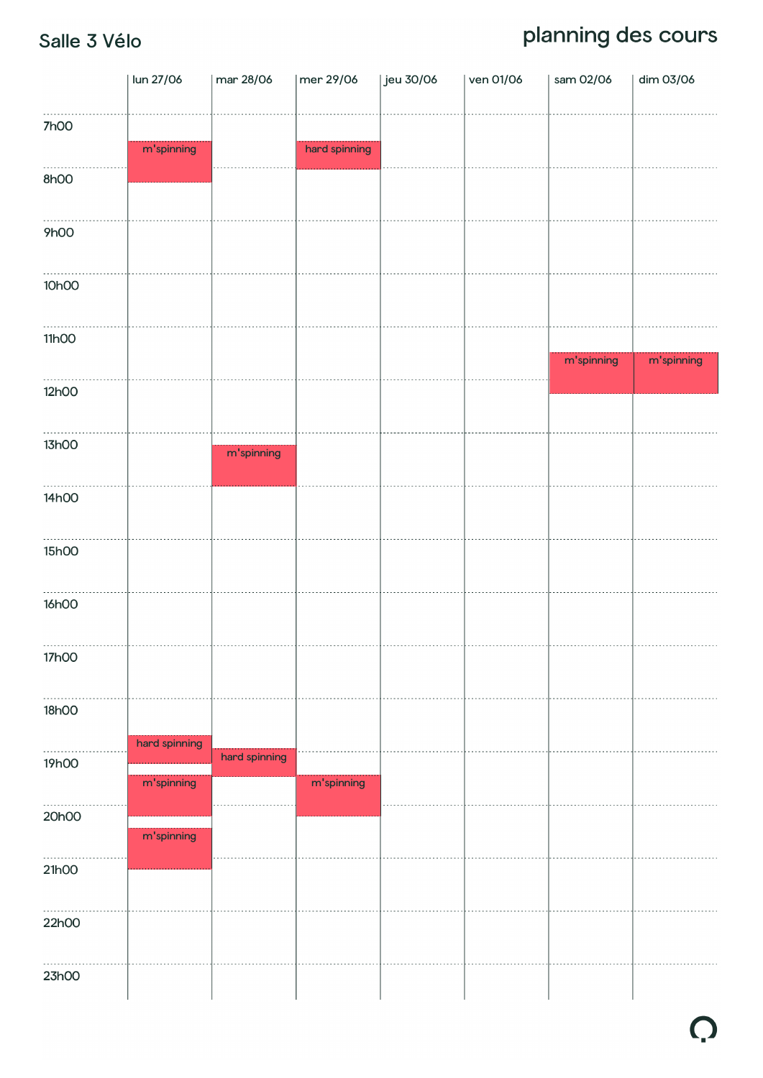#### Salle 3 Vélo

|              | lun 27/06     | mar 28/06     | mer 29/06     | Jeu 30/06 | ven 01/06 | sam 02/06  | dim 03/06  |
|--------------|---------------|---------------|---------------|-----------|-----------|------------|------------|
| <b>7h00</b>  | m'spinning    |               | hard spinning |           |           |            |            |
| 8h00         |               |               |               |           |           |            |            |
| 9h00         |               |               |               |           |           |            |            |
| 10h00        |               |               |               |           |           |            |            |
| 11h00        |               |               |               |           |           | m'spinning | m'spinning |
| 12h00        |               |               |               |           |           |            |            |
| 13h00        |               | m'spinning    |               |           |           |            |            |
| 14h00        |               |               |               |           |           |            |            |
| 15h00        |               |               |               |           |           |            |            |
| <b>16h00</b> |               |               |               |           |           |            |            |
| <b>17h00</b> |               |               |               |           |           |            |            |
| 18h00        | hard spinning |               |               |           |           |            |            |
| 19h00        | m'spinning    | hard spinning | m'spinning    |           |           |            |            |
| 20h00        | m'spinning    |               |               |           |           |            |            |
| 21h00        |               |               |               |           |           |            |            |
| 22h00        |               |               |               |           |           |            |            |
| 23h00        |               |               |               |           |           |            |            |